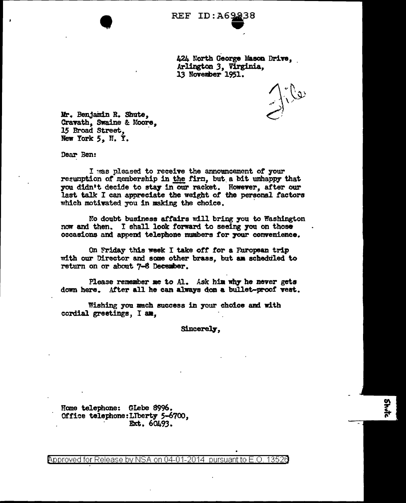| REF ID:A69238 |
|---------------|
|               |

424 North George Mason Drive. Arlington *3,* Virginia, 13 November 1951.

Mr. Benjamin R. Shute, Cravath, Swaine & Moore, 15 Broad Street, New York 5, N. Y.

•

Dear Ben:

I was pleased to receive the announcement of your reeumption of membership in the firm, but a bit unhappy that you didn't decide to stay in our racket. However, after our last talk I can appreciate the weight of the personal factors which motivated you in making the choice.

No doubt business affairs will bring you to Washington now and then. I shall look forward to seeing you on those occasions and append telephone numbers for your convenience.

On Friday this week I take off for a Furopean trip with our Director and some other brass, but am scheduled to return on or about 7-8 December.

Please remember me to Al. Ask him why he never gets down here. After all he can always don a bullet-proof vest.

Wishing you much success in your choice and with cordial greetings,  $I$  an.

Sincerely.

Home telephone: Glebe 8996. Office telephone:Llberty S-6700, . Ext. 60493.

@'pproved for Release by NSA on 04-01-2014 pursuantto E.O. 1352a